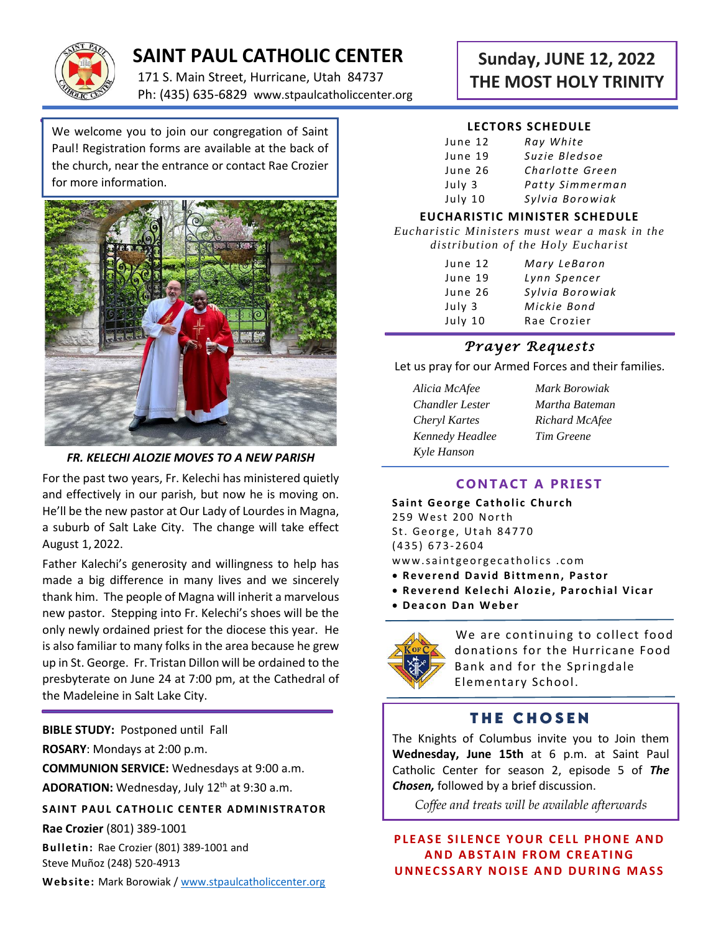

# **SAINT PAUL CATHOLIC CENTER**

171 S. Main Street, Hurricane, Utah 84737 Ph: (435) 635-6829 www.stpaulcatholiccenter.org

We welcome you to join our congregation of Saint Paul! Registration forms are available at the back of the church, near the entrance or contact Rae Crozier for more information.



#### *FR. KELECHI ALOZIE MOVES TO A NEW PARISH*

For the past two years, Fr. Kelechi has ministered quietly and effectively in our parish, but now he is moving on. He'll be the new pastor at Our Lady of Lourdes in Magna, a suburb of Salt Lake City. The change will take effect August 1, 2022.

Father Kalechi's generosity and willingness to help has made a big difference in many lives and we sincerely thank him. The people of Magna will inherit a marvelous new pastor. Stepping into Fr. Kelechi's shoes will be the only newly ordained priest for the diocese this year. He is also familiar to many folks in the area because he grew up in St. George. Fr. Tristan Dillon will be ordained to the presbyterate on June 24 at 7:00 pm, at the Cathedral of the Madeleine in Salt Lake City.

**BIBLE STUDY:** Postponed until Fall **ROSARY**: Mondays at 2:00 p.m.

**COMMUNION SERVICE:** Wednesdays at 9:00 a.m.

**ADORATION:** Wednesday, July 12th at 9:30 a.m.

**SAINT PAUL CATHOLIC CENTER ADMINISTRATOR** 

**Rae Crozier** (801) 389-1001

**Bulletin:** Rae Crozier (801) 389-1001 and Steve Muñoz (248) 520-4913

**Web site:** Mark Borowiak [/ www.stpaulcatholiccenter.org](http://www.stpaulcatholiccenter.org/)

# **Sunday, JUNE 12, 2022 THE MOST HOLY TRINITY**

#### **LECTORS SCHEDULE**

| June 12 | Ray White       |
|---------|-----------------|
| June 19 | Suzie Bledsoe   |
| June 26 | Charlotte Green |
| July 3  | Patty Simmerman |
| July 10 | Sylvia Borowiak |

#### **EUCHARISTIC MINISTER SCHEDULE**

*Eucharistic Ministers must wear a mask in the distribution of the Holy Eucharist*

| June 12 | Mary LeBaron    |
|---------|-----------------|
| June 19 | Lynn Spencer    |
| June 26 | Sylvia Borowiak |
| July 3  | Mickie Bond     |
| July 10 | Rae Crozier     |
|         |                 |

### *Prayer Requests*

Let us pray for our Armed Forces and their families.

- *Alicia McAfee Mark Borowiak Chandler Lester Martha Bateman Cheryl Kartes Richard McAfee Kennedy Headlee Tim Greene Kyle Hanson*
	-

## **CONTACT A PRIEST**

**Saint George Catholic Church** 259 West 200 North St. George, Utah 84770 ( 4 3 5 ) 6 7 3- 2604 www.saintgeorgecatholics.com

- **Reverend David Bittmenn, Pastor**
- **Reverend Kelechi Alozie, Parochial Vicar**
- **D e a c o n D a n W e b e r**



We are continuing to collect food donations for the Hurricane Food Bank and for the Springdale Elementary School.

## **THE CHOSEN**

The Knights of Columbus invite you to Join them **Wednesday, June 15th** at 6 p.m. at Saint Paul Catholic Center for season 2, episode 5 of *The Chosen,* followed by a brief discussion.

*Coffee and treats will be available afterwards*

#### **PLEASE SILENCE YOUR CELL PHONE AND AND ABSTAIN FROM CREATING UNNECSSARY NOISE AND DURING MASS**